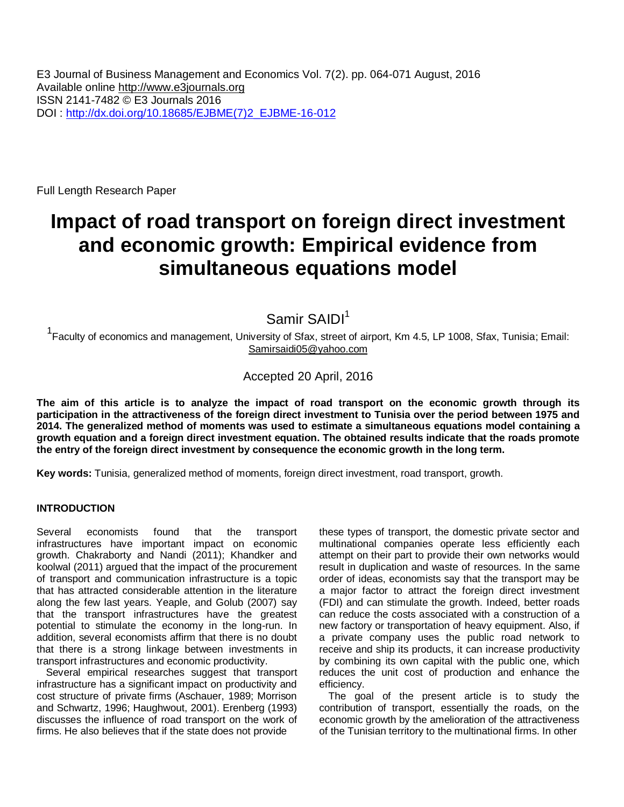Full Length Research Paper

# **Impact of road transport on foreign direct investment and economic growth: Empirical evidence from simultaneous equations model**

Samir SAIDI<sup>1</sup>

1 Faculty of economics and management, University of Sfax, street of airport, Km 4.5, LP 1008, Sfax, Tunisia; Email: [Samirsaidi05@yahoo.com](mailto:Samirsaidi05@yahoo.com)

## Accepted 20 April, 2016

**The aim of this article is to analyze the impact of road transport on the economic growth through its participation in the attractiveness of the foreign direct investment to Tunisia over the period between 1975 and 2014. The generalized method of moments was used to estimate a simultaneous equations model containing a growth equation and a foreign direct investment equation. The obtained results indicate that the roads promote the entry of the foreign direct investment by consequence the economic growth in the long term.**

**Key words:** Tunisia, generalized method of moments, foreign direct investment, road transport, growth.

### **INTRODUCTION**

Several economists found that the transport infrastructures have important impact on economic growth. Chakraborty and Nandi (2011); Khandker and koolwal (2011) argued that the impact of the procurement of transport and communication infrastructure is a topic that has attracted considerable attention in the literature along the few last years. Yeaple, and Golub (2007) say that the transport infrastructures have the greatest potential to stimulate the economy in the long-run. In addition, several economists affirm that there is no doubt that there is a strong linkage between investments in transport infrastructures and economic productivity.

Several empirical researches suggest that transport infrastructure has a significant impact on productivity and cost structure of private firms (Aschauer, 1989; Morrison and Schwartz, 1996; Haughwout, 2001). Erenberg (1993) discusses the influence of road transport on the work of firms. He also believes that if the state does not provide

these types of transport, the domestic private sector and multinational companies operate less efficiently each attempt on their part to provide their own networks would result in duplication and waste of resources. In the same order of ideas, economists say that the transport may be a major factor to attract the foreign direct investment (FDI) and can stimulate the growth. Indeed, better roads can reduce the costs associated with a construction of a new factory or transportation of heavy equipment. Also, if a private company uses the public road network to receive and ship its products, it can increase productivity by combining its own capital with the public one, which reduces the unit cost of production and enhance the efficiency.

The goal of the present article is to study the contribution of transport, essentially the roads, on the economic growth by the amelioration of the attractiveness of the Tunisian territory to the multinational firms. In other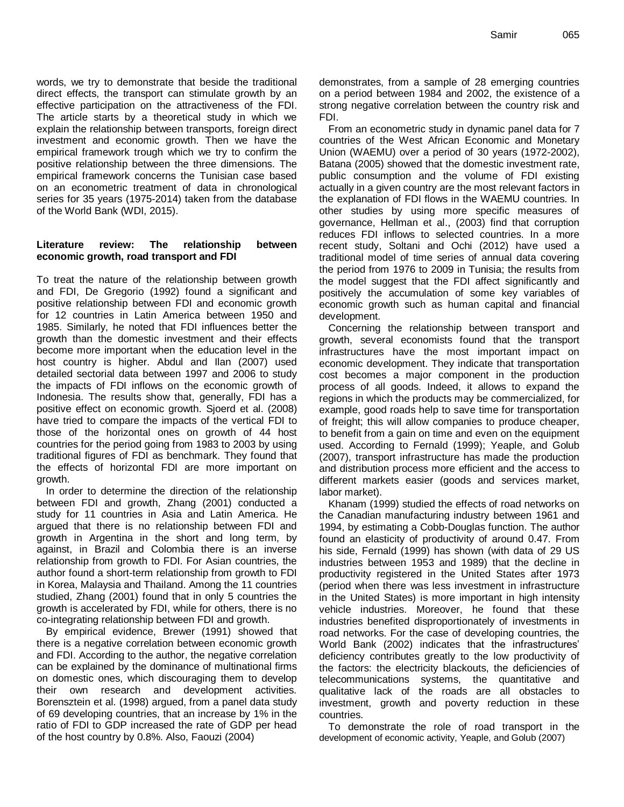words, we try to demonstrate that beside the traditional direct effects, the transport can stimulate growth by an effective participation on the attractiveness of the FDI. The article starts by a theoretical study in which we explain the relationship between transports, foreign direct investment and economic growth. Then we have the empirical framework trough which we try to confirm the positive relationship between the three dimensions. The empirical framework concerns the Tunisian case based on an econometric treatment of data in chronological series for 35 years (1975-2014) taken from the database of the World Bank (WDI, 2015).

#### **Literature review: The relationship between economic growth, road transport and FDI**

To treat the nature of the relationship between growth and FDI, De Gregorio (1992) found a significant and positive relationship between FDI and economic growth for 12 countries in Latin America between 1950 and 1985. Similarly, he noted that FDI influences better the growth than the domestic investment and their effects become more important when the education level in the host country is higher. Abdul and Ilan (2007) used detailed sectorial data between 1997 and 2006 to study the impacts of FDI inflows on the economic growth of Indonesia. The results show that, generally, FDI has a positive effect on economic growth. Sjoerd et al. (2008) have tried to compare the impacts of the vertical FDI to those of the horizontal ones on growth of 44 host countries for the period going from 1983 to 2003 by using traditional figures of FDI as benchmark. They found that the effects of horizontal FDI are more important on growth.

In order to determine the direction of the relationship between FDI and growth, Zhang (2001) conducted a study for 11 countries in Asia and Latin America. He argued that there is no relationship between FDI and growth in Argentina in the short and long term, by against, in Brazil and Colombia there is an inverse relationship from growth to FDI. For Asian countries, the author found a short-term relationship from growth to FDI in Korea, Malaysia and Thailand. Among the 11 countries studied, Zhang (2001) found that in only 5 countries the growth is accelerated by FDI, while for others, there is no co-integrating relationship between FDI and growth.

By empirical evidence, Brewer (1991) showed that there is a negative correlation between economic growth and FDI. According to the author, the negative correlation can be explained by the dominance of multinational firms on domestic ones, which discouraging them to develop their own research and development activities. Borensztein et al. (1998) argued, from a panel data study of 69 developing countries, that an increase by 1% in the ratio of FDI to GDP increased the rate of GDP per head of the host country by 0.8%. Also, Faouzi (2004)

demonstrates, from a sample of 28 emerging countries on a period between 1984 and 2002, the existence of a strong negative correlation between the country risk and FDI.

From an econometric study in dynamic panel data for 7 countries of the West African Economic and Monetary Union (WAEMU) over a period of 30 years (1972-2002), Batana (2005) showed that the domestic investment rate, public consumption and the volume of FDI existing actually in a given country are the most relevant factors in the explanation of FDI flows in the WAEMU countries. In other studies by using more specific measures of governance, Hellman et al., (2003) find that corruption reduces FDI inflows to selected countries. In a more recent study, Soltani and Ochi (2012) have used a traditional model of time series of annual data covering the period from 1976 to 2009 in Tunisia; the results from the model suggest that the FDI affect significantly and positively the accumulation of some key variables of economic growth such as human capital and financial development.

Concerning the relationship between transport and growth, several economists found that the transport infrastructures have the most important impact on economic development. They indicate that transportation cost becomes a major component in the production process of all goods. Indeed, it allows to expand the regions in which the products may be commercialized, for example, good roads help to save time for transportation of freight; this will allow companies to produce cheaper, to benefit from a gain on time and even on the equipment used. According to Fernald (1999); Yeaple, and Golub (2007), transport infrastructure has made the production and distribution process more efficient and the access to different markets easier (goods and services market, labor market).

Khanam (1999) studied the effects of road networks on the Canadian manufacturing industry between 1961 and 1994, by estimating a Cobb-Douglas function. The author found an elasticity of productivity of around 0.47. From his side, Fernald (1999) has shown (with data of 29 US industries between 1953 and 1989) that the decline in productivity registered in the United States after 1973 (period when there was less investment in infrastructure in the United States) is more important in high intensity vehicle industries. Moreover, he found that these industries benefited disproportionately of investments in road networks. For the case of developing countries, the World Bank (2002) indicates that the infrastructures' deficiency contributes greatly to the low productivity of the factors: the electricity blackouts, the deficiencies of telecommunications systems, the quantitative and qualitative lack of the roads are all obstacles to investment, growth and poverty reduction in these countries.

To demonstrate the role of road transport in the development of economic activity, Yeaple, and Golub (2007)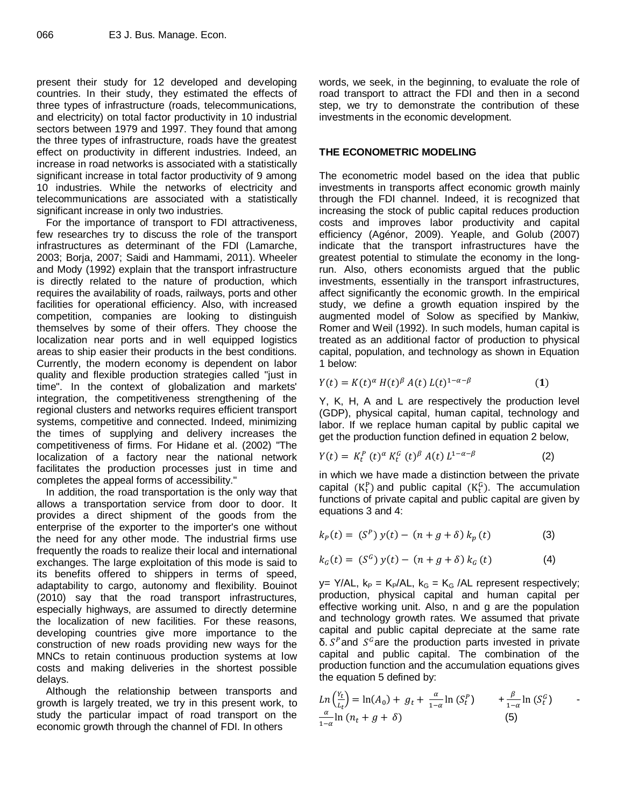present their study for 12 developed and developing countries. In their study, they estimated the effects of three types of infrastructure (roads, telecommunications, and electricity) on total factor productivity in 10 industrial sectors between 1979 and 1997. They found that among the three types of infrastructure, roads have the greatest effect on productivity in different industries. Indeed, an increase in road networks is associated with a statistically significant increase in total factor productivity of 9 among 10 industries. While the networks of electricity and telecommunications are associated with a statistically significant increase in only two industries.

For the importance of transport to FDI attractiveness, few researches try to discuss the role of the transport infrastructures as determinant of the FDI (Lamarche, 2003; Borja, 2007; Saidi and Hammami, 2011). Wheeler and Mody (1992) explain that the transport infrastructure is directly related to the nature of production, which requires the availability of roads, railways, ports and other facilities for operational efficiency. Also, with increased competition, companies are looking to distinguish themselves by some of their offers. They choose the localization near ports and in well equipped logistics areas to ship easier their products in the best conditions. Currently, the modern economy is dependent on labor quality and flexible production strategies called "just in time". In the context of globalization and markets' integration, the competitiveness strengthening of the regional clusters and networks requires efficient transport systems, competitive and connected. Indeed, minimizing the times of supplying and delivery increases the competitiveness of firms. For Hidane et al. (2002) "The localization of a factory near the national network facilitates the production processes just in time and completes the appeal forms of accessibility."

In addition, the road transportation is the only way that allows a transportation service from door to door. It provides a direct shipment of the goods from the enterprise of the exporter to the importer's one without the need for any other mode. The industrial firms use frequently the roads to realize their local and international exchanges. The large exploitation of this mode is said to its benefits offered to shippers in terms of speed, adaptability to cargo, autonomy and flexibility. Bouinot (2010) say that the road transport infrastructures, especially highways, are assumed to directly determine the localization of new facilities. For these reasons, developing countries give more importance to the construction of new roads providing new ways for the MNCs to retain continuous production systems at low costs and making deliveries in the shortest possible delays.

Although the relationship between transports and growth is largely treated, we try in this present work, to study the particular impact of road transport on the economic growth through the channel of FDI. In others

words, we seek, in the beginning, to evaluate the role of road transport to attract the FDI and then in a second step, we try to demonstrate the contribution of these investments in the economic development.

### **THE ECONOMETRIC MODELING**

The econometric model based on the idea that public investments in transports affect economic growth mainly through the FDI channel. Indeed, it is recognized that increasing the stock of public capital reduces production costs and improves labor productivity and capital efficiency (Agénor, 2009). Yeaple, and Golub (2007) indicate that the transport infrastructures have the greatest potential to stimulate the economy in the longrun. Also, others economists argued that the public investments, essentially in the transport infrastructures, affect significantly the economic growth. In the empirical study, we define a growth equation inspired by the augmented model of Solow as specified by Mankiw, Romer and Weil (1992). In such models, human capital is treated as an additional factor of production to physical capital, population, and technology as shown in Equation 1 below:

$$
Y(t) = K(t)^{\alpha} H(t)^{\beta} A(t) L(t)^{1-\alpha-\beta}
$$
 (1)

Y, K, H, A and L are respectively the production level (GDP), physical capital, human capital, technology and labor. If we replace human capital by public capital we get the production function defined in equation 2 below,

$$
Y(t) = K_t^P(t)^\alpha K_t^G(t)^\beta A(t) L^{1-\alpha-\beta}
$$
 (2)

in which we have made a distinction between the private capital  $(K_f^P)$  and public capital  $(K_f^G)$ . The accumulation functions of private capital and public capital are given by equations 3 and 4:

$$
k_p(t) = (S^p) y(t) - (n + g + \delta) k_p(t)
$$
 (3)

$$
k_G(t) = (S^G) y(t) - (n+g+\delta) k_G(t)
$$
 (4)

y= Y/AL,  $k_P = K_P/AL$ ,  $k_G = K_G/AL$  represent respectively; production, physical capital and human capital per effective working unit. Also, n and g are the population and technology growth rates. We assumed that private capital and public capital depreciate at the same rate δ.  $S<sup>p</sup>$  and  $S<sup>G</sup>$  are the production parts invested in private capital and public capital. The combination of the production function and the accumulation equations gives the equation 5 defined by:

$$
Ln\left(\frac{Y_t}{L_t}\right) = ln(A_0) + g_t + \frac{\alpha}{1-\alpha}ln\left(S_t^P\right) + \frac{\beta}{1-\alpha}ln\left(S_t^G\right)
$$
  

$$
\frac{\alpha}{1-\alpha}ln\left(n_t + g + \delta\right) \tag{5}
$$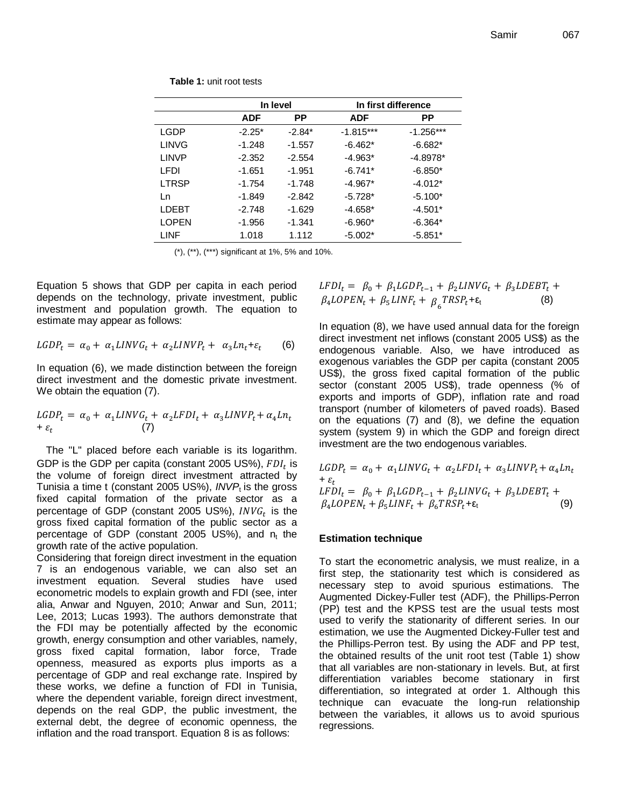|              | In level   |          | In first difference |             |
|--------------|------------|----------|---------------------|-------------|
|              | <b>ADF</b> | РP       | <b>ADF</b>          | <b>PP</b>   |
| LGDP         | $-2.25*$   | $-2.84*$ | $-1.815***$         | $-1.256***$ |
| LINVG        | $-1.248$   | $-1.557$ | $-6.462*$           | $-6.682*$   |
| LINVP        | $-2.352$   | $-2.554$ | $-4.963*$           | $-4.8978*$  |
| LEDI         | $-1.651$   | $-1.951$ | $-6.741*$           | $-6.850*$   |
| <b>LTRSP</b> | $-1.754$   | $-1.748$ | $-4.967*$           | $-4.012*$   |
| Ln           | $-1.849$   | $-2.842$ | $-5.728*$           | $-5.100*$   |
| I DEBT       | $-2.748$   | $-1.629$ | $-4.658*$           | $-4.501*$   |
| <b>LOPEN</b> | $-1.956$   | $-1.341$ | $-6.960*$           | $-6.364*$   |
| LINF         | 1.018      | 1.112    | $-5.002*$           | $-5.851*$   |

**Table 1:** unit root tests

(\*), (\*\*), (\*\*\*) significant at 1%, 5% and 10%.

Equation 5 shows that GDP per capita in each period depends on the technology, private investment, public investment and population growth. The equation to estimate may appear as follows:

$$
LGDP_t = \alpha_0 + \alpha_1 LINVG_t + \alpha_2 LINVP_t + \alpha_3 Ln_t + \varepsilon_t \tag{6}
$$

In equation (6), we made distinction between the foreign direct investment and the domestic private investment. We obtain the equation (7).

$$
LGDP_t = \alpha_0 + \alpha_1 LINVG_t + \alpha_2 LFDI_t + \alpha_3 LINVP_t + \alpha_4 Ln_t
$$
  
+  $\varepsilon_t$  (7)

The "L" placed before each variable is its logarithm. GDP is the GDP per capita (constant 2005 US%),  $FDI_t$  is the volume of foreign direct investment attracted by Tunisia a time t (constant 2005 US%), *INVP*<sub>t</sub> is the gross fixed capital formation of the private sector as a percentage of GDP (constant 2005 US%),  $INVG_t$  is the gross fixed capital formation of the public sector as a percentage of GDP (constant 2005 US%), and  $n_t$  the growth rate of the active population.

Considering that foreign direct investment in the equation 7 is an endogenous variable, we can also set an investment equation. Several studies have used econometric models to explain growth and FDI (see, inter alia, Anwar and Nguyen, 2010; Anwar and Sun, 2011; Lee, 2013; Lucas 1993). The authors demonstrate that the FDI may be potentially affected by the economic growth, energy consumption and other variables, namely, gross fixed capital formation, labor force, Trade openness, measured as exports plus imports as a percentage of GDP and real exchange rate. Inspired by these works, we define a function of FDI in Tunisia, where the dependent variable, foreign direct investment, depends on the real GDP, the public investment, the external debt, the degree of economic openness, the inflation and the road transport. Equation 8 is as follows:

 $LFDI_t = \beta_0 + \beta_1 LGDP_{t-1} + \beta_2 LINVG_t + \beta_3 LDEBT_t +$  $\beta_4 \textit{LOPEN}_t + \beta_5 \textit{LINF}_t + \beta_5 \textit{TRSP}_t + \varepsilon_t$ (8)

In equation (8), we have used annual data for the foreign direct investment net inflows (constant 2005 US\$) as the endogenous variable. Also, we have introduced as exogenous variables the GDP per capita (constant 2005 US\$), the gross fixed capital formation of the public sector (constant 2005 US\$), trade openness (% of exports and imports of GDP), inflation rate and road transport (number of kilometers of paved roads). Based on the equations (7) and (8), we define the equation system (system 9) in which the GDP and foreign direct investment are the two endogenous variables.

L +  $\varepsilon_t$  $LFDI_t = \beta_0 + \beta_1 LGDP_{t-1} + \beta_2 LINVG_t + \beta_3 LDEBT_t +$  $\beta_4 LOPEN_t + \beta_5 LINF_t + \beta_6 TRSP_t + \varepsilon_t$ (9)

#### **Estimation technique**

To start the econometric analysis, we must realize, in a first step, the stationarity test which is considered as necessary step to avoid spurious estimations. The Augmented Dickey-Fuller test (ADF), the Phillips-Perron (PP) test and the KPSS test are the usual tests most used to verify the stationarity of different series. In our estimation, we use the Augmented Dickey-Fuller test and the Phillips-Perron test. By using the ADF and PP test, the obtained results of the unit root test (Table 1) show that all variables are non-stationary in levels. But, at first differentiation variables become stationary in first differentiation, so integrated at order 1. Although this technique can evacuate the long-run relationship between the variables, it allows us to avoid spurious regressions.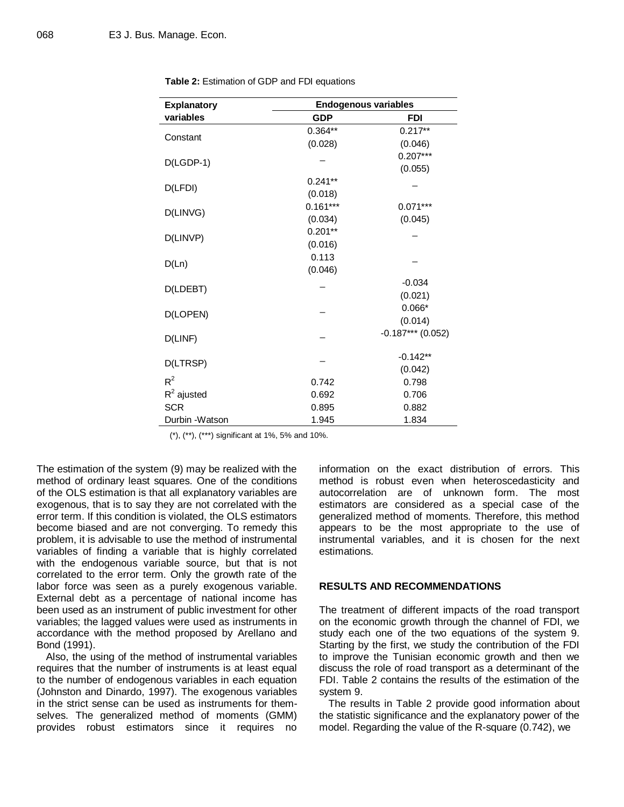| <b>Explanatory</b> | <b>Endogenous variables</b> |                     |  |
|--------------------|-----------------------------|---------------------|--|
| variables          | <b>GDP</b>                  | <b>FDI</b>          |  |
|                    | $0.364**$                   | $0.217**$           |  |
| Constant           | (0.028)                     | (0.046)             |  |
| $D(LGDP-1)$        |                             | $0.207***$          |  |
|                    |                             | (0.055)             |  |
| D(LFDI)            | $0.241**$                   |                     |  |
|                    | (0.018)                     |                     |  |
| D(LINVG)           | $0.161***$                  | $0.071***$          |  |
|                    | (0.034)                     | (0.045)             |  |
| D(LINVP)           | $0.201**$                   |                     |  |
|                    | (0.016)                     |                     |  |
|                    | 0.113                       |                     |  |
| D(Ln)              | (0.046)                     |                     |  |
| D(LDEBT)           |                             | $-0.034$            |  |
|                    |                             | (0.021)             |  |
| D(LOPEN)           |                             | $0.066*$            |  |
|                    |                             | (0.014)             |  |
| D(LINF)            |                             | $-0.187***$ (0.052) |  |
| D(LTRSP)           |                             | $-0.142**$          |  |
|                    |                             | (0.042)             |  |
| $R^2$              | 0.742                       | 0.798               |  |
| $R^2$ ajusted      | 0.692                       | 0.706               |  |
| <b>SCR</b>         | 0.895                       | 0.882               |  |
| Durbin -Watson     | 1.945                       | 1.834               |  |

**Table 2:** Estimation of GDP and FDI equations

(\*), (\*\*), (\*\*\*) significant at 1%, 5% and 10%.

The estimation of the system (9) may be realized with the method of ordinary least squares. One of the conditions of the OLS estimation is that all explanatory variables are exogenous, that is to say they are not correlated with the error term. If this condition is violated, the OLS estimators become biased and are not converging. To remedy this problem, it is advisable to use the method of instrumental variables of finding a variable that is highly correlated with the endogenous variable source, but that is not correlated to the error term. Only the growth rate of the labor force was seen as a purely exogenous variable. External debt as a percentage of national income has been used as an instrument of public investment for other variables; the lagged values were used as instruments in accordance with the method proposed by Arellano and Bond (1991).

Also, the using of the method of instrumental variables requires that the number of instruments is at least equal to the number of endogenous variables in each equation (Johnston and Dinardo, 1997). The exogenous variables in the strict sense can be used as instruments for themselves. The generalized method of moments (GMM) provides robust estimators since it requires no

information on the exact distribution of errors. This method is robust even when heteroscedasticity and autocorrelation are of unknown form. The most estimators are considered as a special case of the generalized method of moments. Therefore, this method appears to be the most appropriate to the use of instrumental variables, and it is chosen for the next estimations.

#### **RESULTS AND RECOMMENDATIONS**

The treatment of different impacts of the road transport on the economic growth through the channel of FDI, we study each one of the two equations of the system 9. Starting by the first, we study the contribution of the FDI to improve the Tunisian economic growth and then we discuss the role of road transport as a determinant of the FDI. Table 2 contains the results of the estimation of the system 9.

The results in Table 2 provide good information about the statistic significance and the explanatory power of the model. Regarding the value of the R-square (0.742), we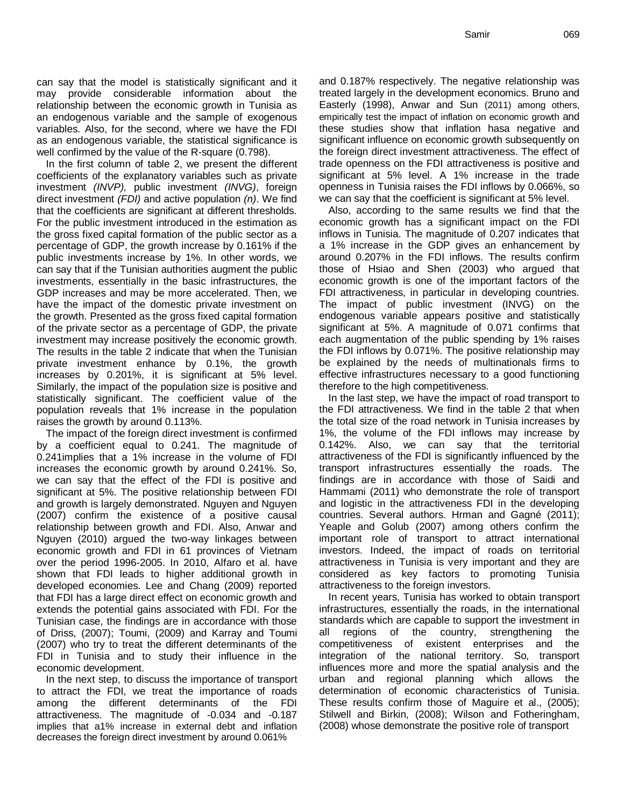can say that the model is statistically significant and it may provide considerable information about the relationship between the economic growth in Tunisia as an endogenous variable and the sample of exogenous variables. Also, for the second, where we have the FDI as an endogenous variable, the statistical significance is well confirmed by the value of the R-square (0.798).

In the first column of table 2, we present the different coefficients of the explanatory variables such as private investment *(INVP),* public investment *(INVG)*, foreign direct investment *(FDI)* and active population *(n)*. We find that the coefficients are significant at different thresholds. For the public investment introduced in the estimation as the gross fixed capital formation of the public sector as a percentage of GDP, the growth increase by 0.161% if the public investments increase by 1%. In other words, we can say that if the Tunisian authorities augment the public investments, essentially in the basic infrastructures, the GDP increases and may be more accelerated. Then, we have the impact of the domestic private investment on the growth. Presented as the gross fixed capital formation of the private sector as a percentage of GDP, the private investment may increase positively the economic growth. The results in the table 2 indicate that when the Tunisian private investment enhance by 0.1%, the growth increases by 0.201%, it is significant at 5% level. Similarly, the impact of the population size is positive and statistically significant. The coefficient value of the population reveals that 1% increase in the population raises the growth by around 0.113%.

The impact of the foreign direct investment is confirmed by a coefficient equal to 0.241. The magnitude of 0.241implies that a 1% increase in the volume of FDI increases the economic growth by around 0.241%. So, we can say that the effect of the FDI is positive and significant at 5%. The positive relationship between FDI and growth is largely demonstrated. Nguyen and Nguyen (2007) confirm the existence of a positive causal relationship between growth and FDI. Also, Anwar and Nguyen (2010) argued the two-way linkages between economic growth and FDI in 61 provinces of Vietnam over the period 1996-2005. In 2010, Alfaro et al. have shown that FDI leads to higher additional growth in developed economies. Lee and Chang (2009) reported that FDI has a large direct effect on economic growth and extends the potential gains associated with FDI. For the Tunisian case, the findings are in accordance with those of Driss, (2007); Toumi, (2009) and Karray and Toumi (2007) who try to treat the different determinants of the FDI in Tunisia and to study their influence in the economic development.

In the next step, to discuss the importance of transport to attract the FDI, we treat the importance of roads among the different determinants of the FDI attractiveness. The magnitude of -0.034 and -0.187 implies that a1% increase in external debt and inflation decreases the foreign direct investment by around 0.061%

and 0.187% respectively. The negative relationship was treated largely in the development economics. Bruno and Easterly (1998), Anwar and Sun (2011) among others, empirically test the impact of inflation on economic growth and these studies show that inflation hasa negative and significant influence on economic growth subsequently on the foreign direct investment attractiveness. The effect of trade openness on the FDI attractiveness is positive and significant at 5% level. A 1% increase in the trade openness in Tunisia raises the FDI inflows by 0.066%, so we can say that the coefficient is significant at 5% level.

Also, according to the same results we find that the economic growth has a significant impact on the FDI inflows in Tunisia. The magnitude of 0.207 indicates that a 1% increase in the GDP gives an enhancement by around 0.207% in the FDI inflows. The results confirm those of Hsiao and Shen (2003) who argued that economic growth is one of the important factors of the FDI attractiveness, in particular in developing countries. The impact of public investment (INVG) on the endogenous variable appears positive and statistically significant at 5%. A magnitude of 0.071 confirms that each augmentation of the public spending by 1% raises the FDI inflows by 0.071%. The positive relationship may be explained by the needs of multinationals firms to effective infrastructures necessary to a good functioning therefore to the high competitiveness.

In the last step, we have the impact of road transport to the FDI attractiveness. We find in the table 2 that when the total size of the road network in Tunisia increases by 1%, the volume of the FDI inflows may increase by 0.142%. Also, we can say that the territorial attractiveness of the FDI is significantly influenced by the transport infrastructures essentially the roads. The findings are in accordance with those of Saidi and Hammami (2011) who demonstrate the role of transport and logistic in the attractiveness FDI in the developing countries. Several authors. Hrman and Gagné (2011); Yeaple and Golub (2007) among others confirm the important role of transport to attract international investors. Indeed, the impact of roads on territorial attractiveness in Tunisia is very important and they are considered as key factors to promoting Tunisia attractiveness to the foreign investors.

In recent years, Tunisia has worked to obtain transport infrastructures, essentially the roads, in the international standards which are capable to support the investment in all regions of the country, strengthening the competitiveness of existent enterprises and the integration of the national territory. So, transport influences more and more the spatial analysis and the urban and regional planning which allows the determination of economic characteristics of Tunisia. These results confirm those of Maguire et al., (2005); Stilwell and Birkin, (2008); Wilson and Fotheringham, (2008) whose demonstrate the positive role of transport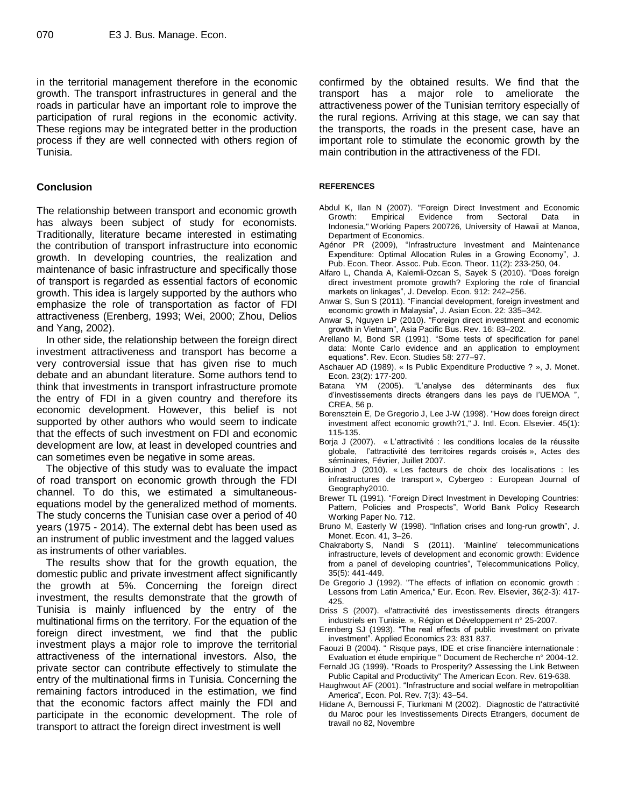in the territorial management therefore in the economic growth. The transport infrastructures in general and the roads in particular have an important role to improve the participation of rural regions in the economic activity. These regions may be integrated better in the production process if they are well connected with others region of Tunisia.

#### **Conclusion**

The relationship between transport and economic growth has always been subject of study for economists. Traditionally, literature became interested in estimating the contribution of transport infrastructure into economic growth. In developing countries, the realization and maintenance of basic infrastructure and specifically those of transport is regarded as essential factors of economic growth. This idea is largely supported by the authors who emphasize the role of transportation as factor of FDI attractiveness (Erenberg, 1993; Wei, 2000; Zhou, Delios and Yang, 2002).

In other side, the relationship between the foreign direct investment attractiveness and transport has become a very controversial issue that has given rise to much debate and an abundant literature. Some authors tend to think that investments in transport infrastructure promote the entry of FDI in a given country and therefore its economic development. However, this belief is not supported by other authors who would seem to indicate that the effects of such investment on FDI and economic development are low, at least in developed countries and can sometimes even be negative in some areas.

The objective of this study was to evaluate the impact of road transport on economic growth through the FDI channel. To do this, we estimated a simultaneousequations model by the generalized method of moments. The study concerns the Tunisian case over a period of 40 years (1975 - 2014). The external debt has been used as an instrument of public investment and the lagged values as instruments of other variables.

The results show that for the growth equation, the domestic public and private investment affect significantly the growth at 5%. Concerning the foreign direct investment, the results demonstrate that the growth of Tunisia is mainly influenced by the entry of the multinational firms on the territory. For the equation of the foreign direct investment, we find that the public investment plays a major role to improve the territorial attractiveness of the international investors. Also, the private sector can contribute effectively to stimulate the entry of the multinational firms in Tunisia. Concerning the remaining factors introduced in the estimation, we find that the economic factors affect mainly the FDI and participate in the economic development. The role of transport to attract the foreign direct investment is well

confirmed by the obtained results. We find that the transport has a major role to ameliorate the attractiveness power of the Tunisian territory especially of the rural regions. Arriving at this stage, we can say that the transports, the roads in the present case, have an important role to stimulate the economic growth by the main contribution in the attractiveness of the FDI.

#### **REFERENCES**

- Abdul K, Ilan N (2007). ["Foreign Direct Investment and Economic](https://ideas.repec.org/p/hai/wpaper/200726.html)  [Growth: Empirical Evidence from Sectoral Data in](https://ideas.repec.org/p/hai/wpaper/200726.html)  [Indonesia,](https://ideas.repec.org/p/hai/wpaper/200726.html)" [Working Papers](https://ideas.repec.org/s/hai/wpaper.html) 200726, University of Hawaii at Manoa, Department of Economics.
- Agénor PR (2009), "Infrastructure Investment and Maintenance Expenditure: Optimal Allocation Rules in a Growing Economy", J. Pub. Econ. Theor. Assoc. Pub. Econ. Theor. 11(2): 233-250, 04.
- Alfaro L, Chanda A, Kalemli-Ozcan S, Sayek S (2010). "Does foreign direct investment promote growth? Exploring the role of financial markets on linkages", J. Develop. Econ. 912: 242–256.
- Anwar S, Sun S (2011). "Financial development, foreign investment and economic growth in Malaysia", J. Asian Econ. 22: 335–342.
- Anwar S, Nguyen LP (2010). "Foreign direct investment and economic growth in Vietnam", Asia Pacific Bus. Rev. 16: 83–202.
- Arellano M, Bond SR (1991). "Some tests of specification for panel data: Monte Carlo evidence and an application to employment equations". Rev. Econ. Studies 58: 277–97.
- Aschauer AD (1989). « Is Public Expenditure Productive ? », J. Monet. Econ. 23(2): 177-200.
- Batana YM (2005). "L'analyse des déterminants des flux d'investissements directs étrangers dans les pays de l'UEMOA ", CREA, 56 p.
- Borensztein E, De Gregorio J, Lee J-W (1998). ["How does foreign direct](https://ideas.repec.org/a/eee/inecon/v45y1998i1p115-135.html)  [investment affect economic growth?1,"](https://ideas.repec.org/a/eee/inecon/v45y1998i1p115-135.html) J. Intl. [Econ.](https://ideas.repec.org/s/eee/inecon.html) Elsevier. 45(1): 115-135.
- Borja J (2007). « L'attractivité : les conditions locales de la réussite globale, l'attractivité des territoires regards croisés », Actes des séminaires, Février, Juillet 2007.
- Bouinot J (2010). « Les facteurs de choix des localisations : les infrastructures de transport », Cybergeo : European Journal of Geography2010.
- Brewer TL (1991). "Foreign Direct Investment in Developing Countries: Pattern, Policies and Prospects", World Bank Policy Research Working Paper No. 712.
- Bruno M, Easterly W (1998). "Inflation crises and long-run growth", J. Monet. Econ. 41, 3–26.
- Chakraborty S, Nandi S (2011). 'Mainline' telecommunications infrastructure, levels of development and economic growth: Evidence from a panel of developing countries", Telecommunications Policy, 35(5): 441-449.
- De Gregorio J (1992). ["The effects of inflation on economic growth :](https://ideas.repec.org/a/eee/eecrev/v36y1992i2-3p417-425.html)  [Lessons from Latin America,"](https://ideas.repec.org/a/eee/eecrev/v36y1992i2-3p417-425.html) Eur. [Econ.](https://ideas.repec.org/s/eee/eecrev.html) Rev. Elsevier, 36(2-3): 417- 425.
- Driss S (2007). «l'attractivité des investissements directs étrangers industriels en Tunisie. », Région et Développement n° 25-2007.
- Erenberg SJ (1993). "The real effects of public investment on private investment". Applied Economics 23: 831 837.
- Faouzi B (2004). " Risque pays, IDE et crise financière internationale : Evaluation et étude empirique " Document de Recherche n° 2004-12.
- Fernald JG (1999). "Roads to Prosperity? Assessing the Link Between Public Capital and Productivity" The American Econ. Rev. 619-638.
- Haughwout AF (2001). "Infrastructure and social welfare in metropolitian America", Econ. Pol. Rev. 7(3): 43–54.
- Hidane A, Bernoussi F, Tiurkmani M (2002). Diagnostic de l'attractivité du Maroc pour les Investissements Directs Etrangers, document de travail no 82, Novembre